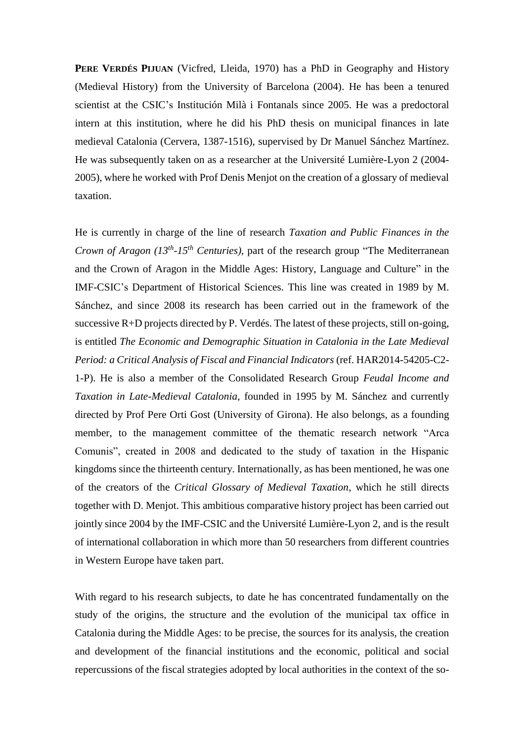**PERE VERDÉS PIJUAN** (Vicfred, Lleida, 1970) has a PhD in Geography and History (Medieval History) from the University of Barcelona (2004). He has been a tenured scientist at the CSIC's Institución Milà i Fontanals since 2005. He was a predoctoral intern at this institution, where he did his PhD thesis on municipal finances in late medieval Catalonia (Cervera, 1387-1516), supervised by Dr Manuel Sánchez Martínez. He was subsequently taken on as a researcher at the Université Lumière-Lyon 2 (2004- 2005), where he worked with Prof Denis Menjot on the creation of a glossary of medieval taxation.

He is currently in charge of the line of research *Taxation and Public Finances in the Crown of Aragon (13th -15th Centuries)*, part of the research group "The Mediterranean and the Crown of Aragon in the Middle Ages: History, Language and Culture" in the IMF-CSIC's Department of Historical Sciences. This line was created in 1989 by M. Sánchez, and since 2008 its research has been carried out in the framework of the successive R+D projects directed by P. Verdés. The latest of these projects, still on-going, is entitled *The Economic and Demographic Situation in Catalonia in the Late Medieval Period: a Critical Analysis of Fiscal and Financial Indicators* (ref. HAR2014-54205-C2- 1-P). He is also a member of the Consolidated Research Group *Feudal Income and Taxation in Late-Medieval Catalonia*, founded in 1995 by M. Sánchez and currently directed by Prof Pere Orti Gost (University of Girona). He also belongs, as a founding member, to the management committee of the thematic research network "Arca Comunis", created in 2008 and dedicated to the study of taxation in the Hispanic kingdoms since the thirteenth century. Internationally, as has been mentioned, he was one of the creators of the *Critical Glossary of Medieval Taxation*, which he still directs together with D. Menjot. This ambitious comparative history project has been carried out jointly since 2004 by the IMF-CSIC and the Université Lumière-Lyon 2, and is the result of international collaboration in which more than 50 researchers from different countries in Western Europe have taken part.

With regard to his research subjects, to date he has concentrated fundamentally on the study of the origins, the structure and the evolution of the municipal tax office in Catalonia during the Middle Ages: to be precise, the sources for its analysis, the creation and development of the financial institutions and the economic, political and social repercussions of the fiscal strategies adopted by local authorities in the context of the so-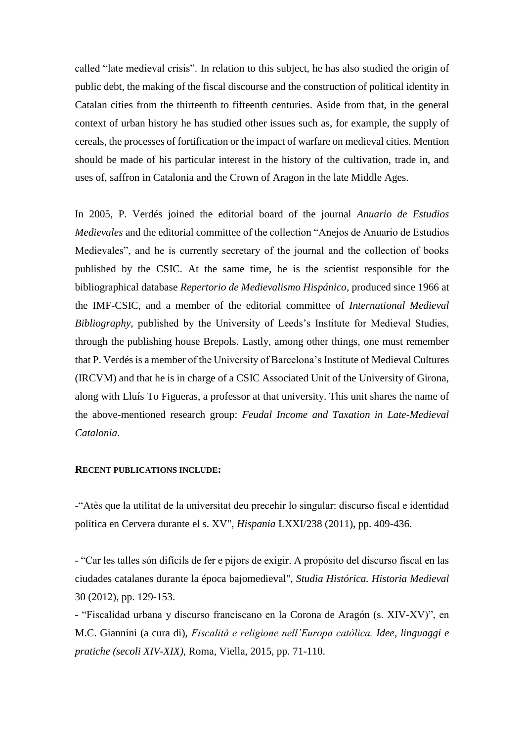called "late medieval crisis". In relation to this subject, he has also studied the origin of public debt, the making of the fiscal discourse and the construction of political identity in Catalan cities from the thirteenth to fifteenth centuries. Aside from that, in the general context of urban history he has studied other issues such as, for example, the supply of cereals, the processes of fortification or the impact of warfare on medieval cities. Mention should be made of his particular interest in the history of the cultivation, trade in, and uses of, saffron in Catalonia and the Crown of Aragon in the late Middle Ages.

In 2005, P. Verdés joined the editorial board of the journal *Anuario de Estudios Medievales* and the editorial committee of the collection "Anejos de Anuario de Estudios Medievales", and he is currently secretary of the journal and the collection of books published by the CSIC. At the same time, he is the scientist responsible for the bibliographical database *Repertorio de Medievalismo Hispánico*, produced since 1966 at the IMF-CSIC, and a member of the editorial committee of *International Medieval Bibliography,* published by the University of Leeds's Institute for Medieval Studies, through the publishing house Brepols. Lastly, among other things, one must remember that P. Verdés is a member of the University of Barcelona's Institute of Medieval Cultures (IRCVM) and that he is in charge of a CSIC Associated Unit of the University of Girona, along with Lluís To Figueras, a professor at that university. This unit shares the name of the above-mentioned research group: *Feudal Income and Taxation in Late-Medieval Catalonia*.

## **RECENT PUBLICATIONS INCLUDE:**

-"Atès que la utilitat de la universitat deu precehir lo singular: discurso fiscal e identidad política en Cervera durante el s. XV", *Hispania* LXXI/238 (2011), pp. 409-436.

- "Car les talles són difícils de fer e pijors de exigir. A propósito del discurso fiscal en las ciudades catalanes durante la época bajomedieval", *Studia Histórica. Historia Medieval* 30 (2012), pp. 129-153.

- "Fiscalidad urbana y discurso franciscano en la Corona de Aragón (s. XIV-XV)", en M.C. Giannini (a cura di), *Fiscalità e religione nell'Europa catòlica. Idee, linguaggi e pratiche (secoli XIV-XIX)*, Roma, Viella, 2015, pp. 71-110.